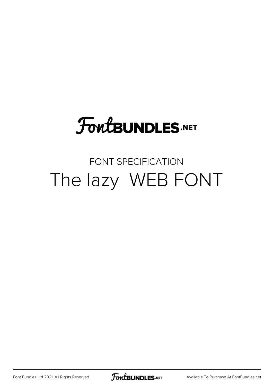## **FoutBUNDLES.NET**

## FONT SPECIFICATION The lazy WEB FONT

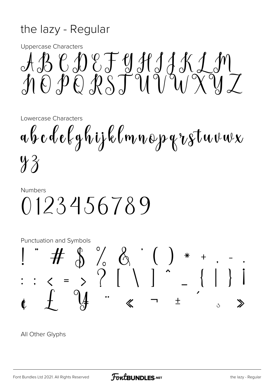## the lazy - Regular

**Uppercase Characters** 

 $\begin{array}{c}\nA\mathcal{B} & C\mathcal{D} & C\mathcal{F} & \mathcal{Y}\mathcal{J}\mathcal{J}\mathcal{J}\mathcal{K}\mathcal{J}\mathcal{M} \\
\mathcal{J} & 0 & D\mathcal{D}\mathcal{R}\mathcal{S}\mathcal{T}\mathcal{M}\mathcal{V}\mathcal{M}\mathcal{X}\mathcal{Y}\mathcal{J}\n\end{array}$ 

Lowercase Characters

abcdelghijklmnopqrstuvwx  $4\%$ 

## **Numbers** 0123456789

**Punctuation and Symbols** 



All Other Glyphs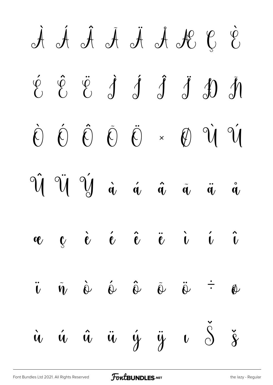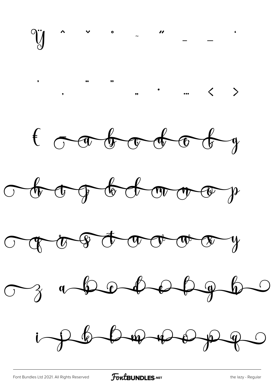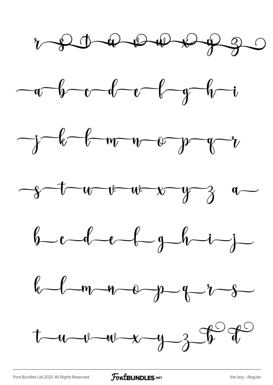











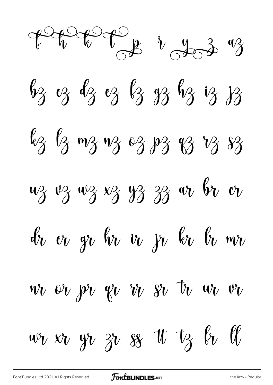$7000000$   $v_{003}$  $63$  oz  $63$  oz  $63$   $33$   $63$  iz iz jz  $\ell_3$   $\ell_3$  m3 m3 e3 p3 v3 v3 s3 uz vz wz xz yz zz w br  $v_1$  $\ell_v$  er gr $\ell_v$  ir jr kr $\ell_v$  mr  $wv$  or  $pv$   $qv$   $v$   $v$   $v$   $sv$   $tv$   $w$   $v$  $w_1$   $w_2$   $y_1$   $y_2$   $y_3$   $w_4$   $w_5$   $w_6$